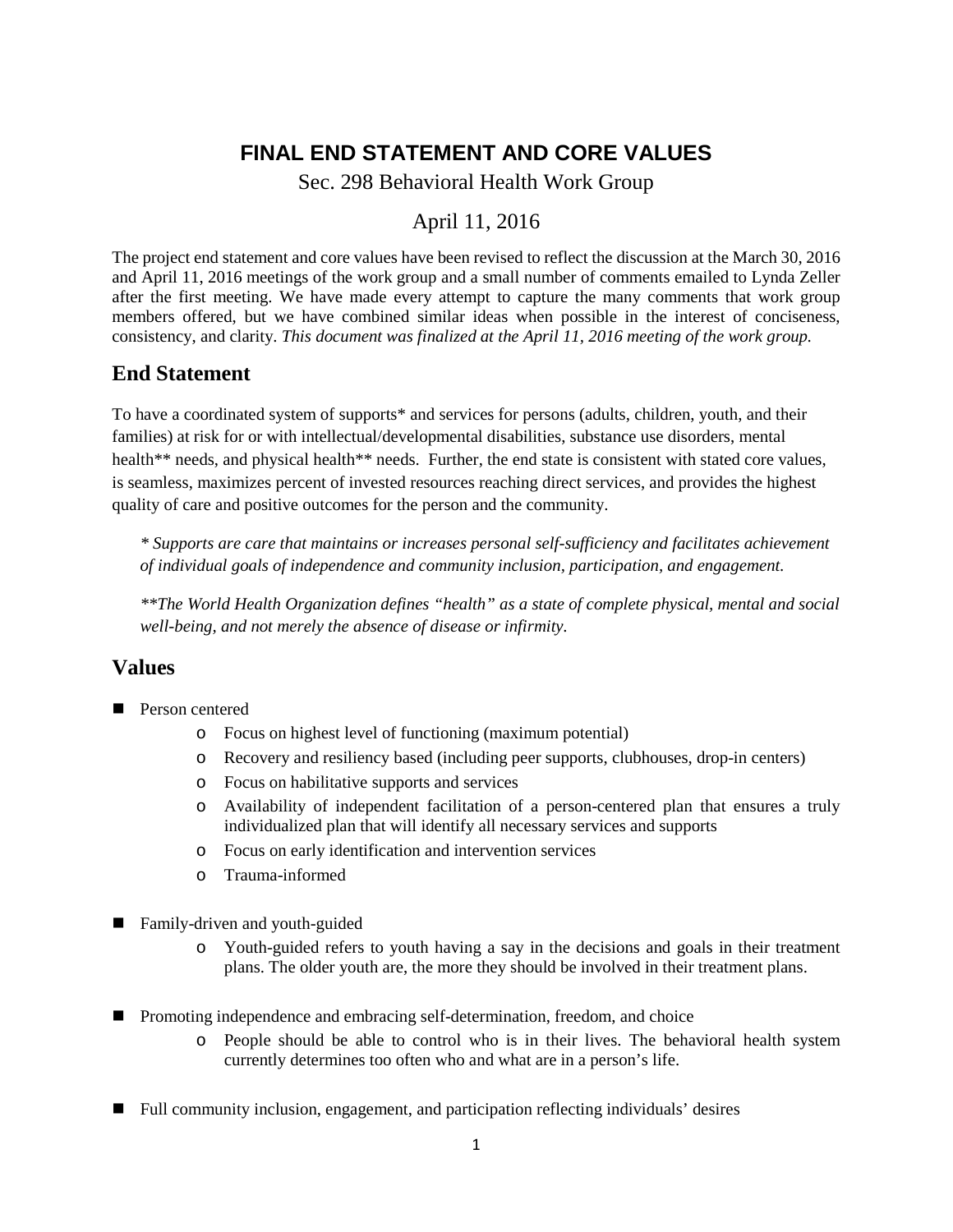## **FINAL END STATEMENT AND CORE VALUES**

Sec. 298 Behavioral Health Work Group

## April 11, 2016

The project end statement and core values have been revised to reflect the discussion at the March 30, 2016 and April 11, 2016 meetings of the work group and a small number of comments emailed to Lynda Zeller after the first meeting. We have made every attempt to capture the many comments that work group members offered, but we have combined similar ideas when possible in the interest of conciseness, consistency, and clarity. *This document was finalized at the April 11, 2016 meeting of the work group.*

## **End Statement**

To have a coordinated system of supports\* and services for persons (adults, children, youth, and their families) at risk for or with intellectual/developmental disabilities, substance use disorders, mental health<sup>\*\*</sup> needs, and physical health<sup>\*\*</sup> needs. Further, the end state is consistent with stated core values, is seamless, maximizes percent of invested resources reaching direct services, and provides the highest quality of care and positive outcomes for the person and the community.

*\* Supports are care that maintains or increases personal self-sufficiency and facilitates achievement of individual goals of independence and community inclusion, participation, and engagement.*

*\*\*The World Health Organization defines "health" as a state of complete physical, mental and social well-being, and not merely the absence of disease or infirmity.*

## **Values**

- **Person centered** 
	- o Focus on highest level of functioning (maximum potential)
	- o Recovery and resiliency based (including peer supports, clubhouses, drop-in centers)
	- o Focus on habilitative supports and services
	- o Availability of independent facilitation of a person-centered plan that ensures a truly individualized plan that will identify all necessary services and supports
	- o Focus on early identification and intervention services
	- o Trauma-informed
- Family-driven and youth-guided
	- o Youth-guided refers to youth having a say in the decisions and goals in their treatment plans. The older youth are, the more they should be involved in their treatment plans.
- **Promoting independence and embracing self-determination, freedom, and choice** 
	- o People should be able to control who is in their lives. The behavioral health system currently determines too often who and what are in a person's life.
- Full community inclusion, engagement, and participation reflecting individuals' desires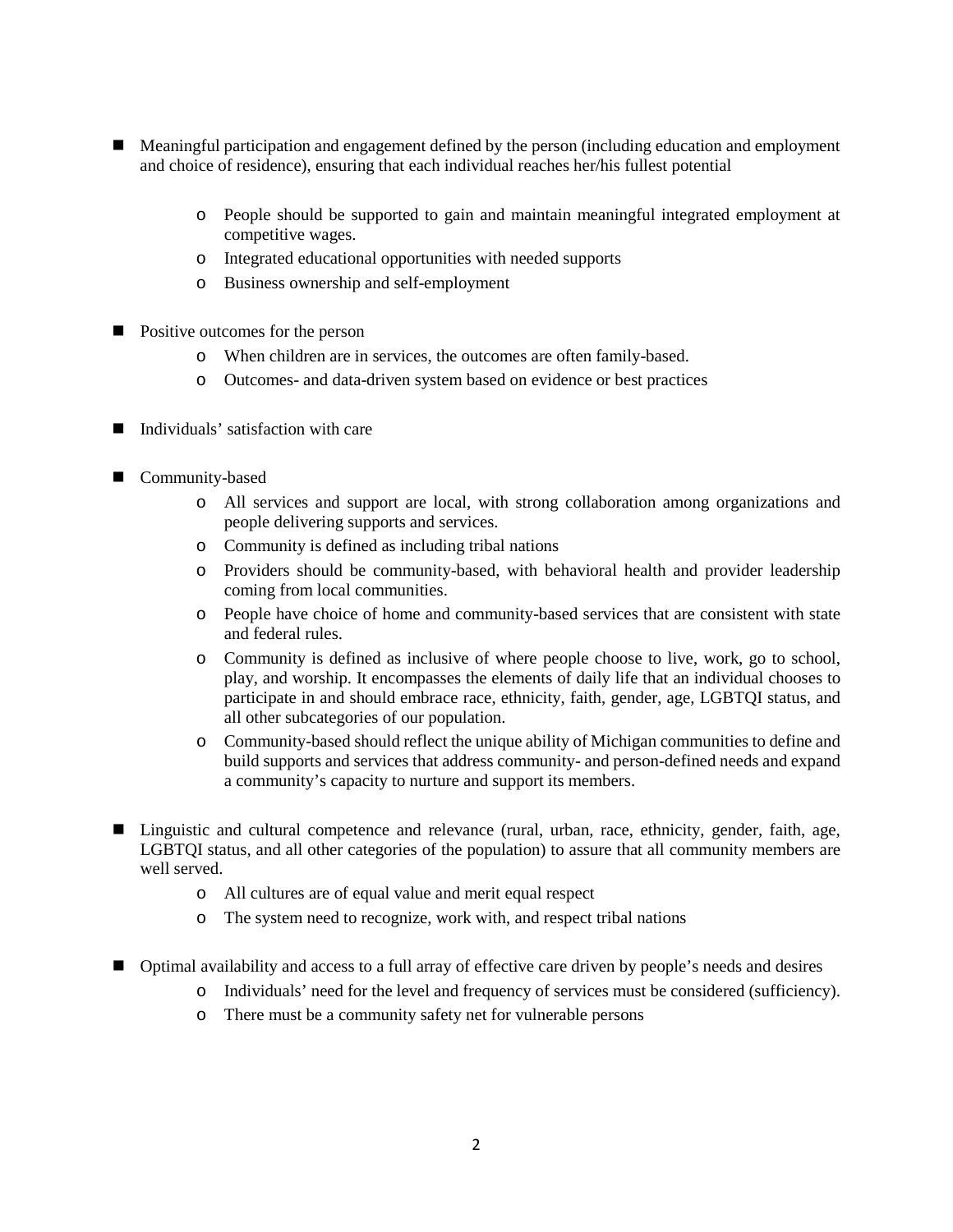- **Meaningful participation and engagement defined by the person (including education and employment** and choice of residence), ensuring that each individual reaches her/his fullest potential
	- o People should be supported to gain and maintain meaningful integrated employment at competitive wages.
	- o Integrated educational opportunities with needed supports
	- o Business ownership and self-employment
- **Positive outcomes for the person** 
	- o When children are in services, the outcomes are often family-based.
	- o Outcomes- and data-driven system based on evidence or best practices
- Individuals' satisfaction with care
- Community-based
	- o All services and support are local, with strong collaboration among organizations and people delivering supports and services.
	- o Community is defined as including tribal nations
	- o Providers should be community-based, with behavioral health and provider leadership coming from local communities.
	- o People have choice of home and community-based services that are consistent with state and federal rules.
	- o Community is defined as inclusive of where people choose to live, work, go to school, play, and worship. It encompasses the elements of daily life that an individual chooses to participate in and should embrace race, ethnicity, faith, gender, age, LGBTQI status, and all other subcategories of our population.
	- o Community-based should reflect the unique ability of Michigan communities to define and build supports and services that address community- and person-defined needs and expand a community's capacity to nurture and support its members.
- Linguistic and cultural competence and relevance (rural, urban, race, ethnicity, gender, faith, age, LGBTQI status, and all other categories of the population) to assure that all community members are well served.
	- o All cultures are of equal value and merit equal respect
	- o The system need to recognize, work with, and respect tribal nations
- Optimal availability and access to a full array of effective care driven by people's needs and desires
	- o Individuals' need for the level and frequency of services must be considered (sufficiency).
	- o There must be a community safety net for vulnerable persons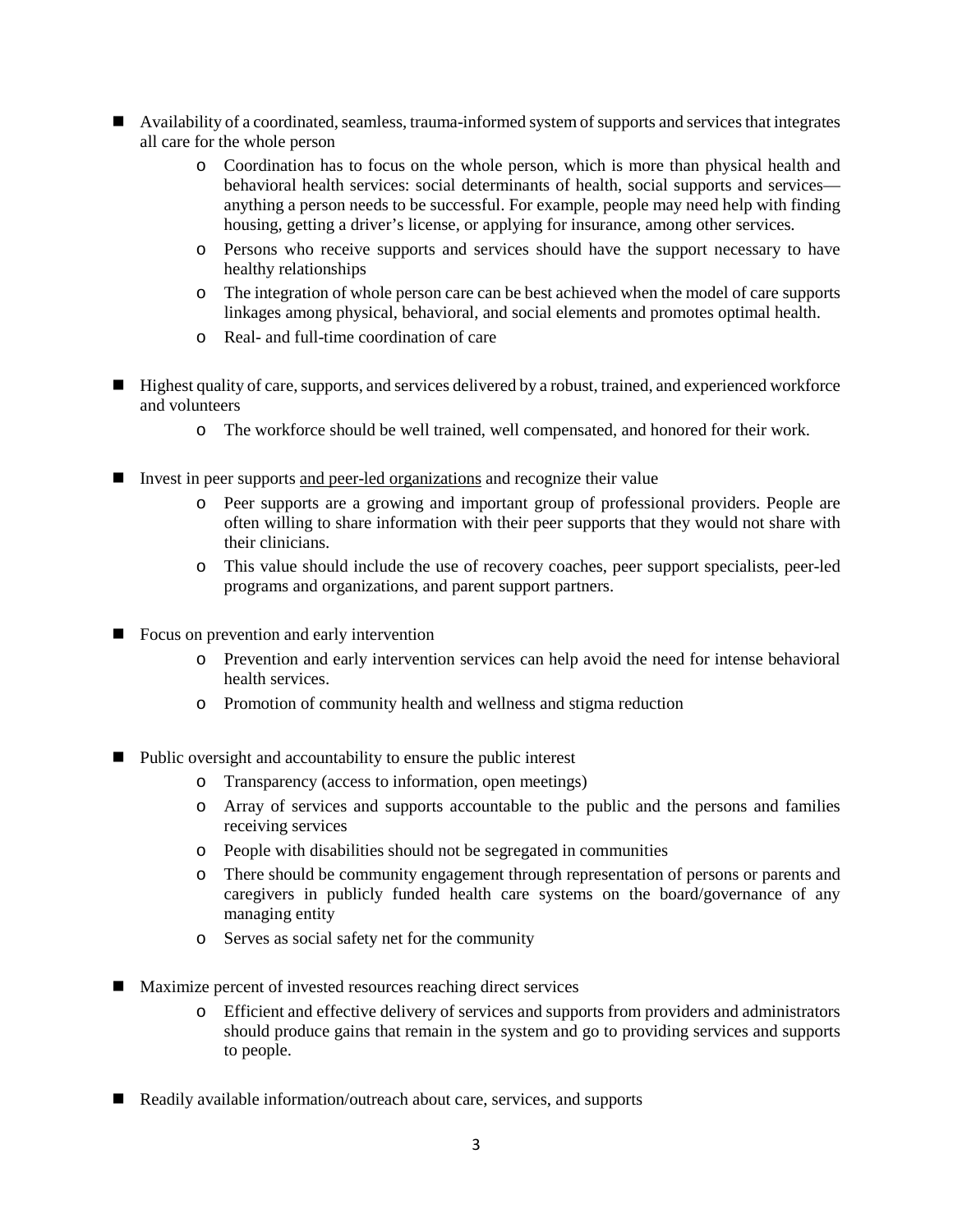- $\blacksquare$  Availability of a coordinated, seamless, trauma-informed system of supports and services that integrates all care for the whole person
	- o Coordination has to focus on the whole person, which is more than physical health and behavioral health services: social determinants of health, social supports and services anything a person needs to be successful. For example, people may need help with finding housing, getting a driver's license, or applying for insurance, among other services.
	- o Persons who receive supports and services should have the support necessary to have healthy relationships
	- o The integration of whole person care can be best achieved when the model of care supports linkages among physical, behavioral, and social elements and promotes optimal health.
	- o Real- and full-time coordination of care
- $\blacksquare$  Highest quality of care, supports, and services delivered by a robust, trained, and experienced workforce and volunteers
	- o The workforce should be well trained, well compensated, and honored for their work.
- Invest in peer supports and peer-led organizations and recognize their value
	- o Peer supports are a growing and important group of professional providers. People are often willing to share information with their peer supports that they would not share with their clinicians.
	- o This value should include the use of recovery coaches, peer support specialists, peer-led programs and organizations, and parent support partners.
- Focus on prevention and early intervention
	- o Prevention and early intervention services can help avoid the need for intense behavioral health services.
	- o Promotion of community health and wellness and stigma reduction
- Public oversight and accountability to ensure the public interest
	- o Transparency (access to information, open meetings)
	- o Array of services and supports accountable to the public and the persons and families receiving services
	- o People with disabilities should not be segregated in communities
	- o There should be community engagement through representation of persons or parents and caregivers in publicly funded health care systems on the board/governance of any managing entity
	- o Serves as social safety net for the community
- Maximize percent of invested resources reaching direct services
	- o Efficient and effective delivery of services and supports from providers and administrators should produce gains that remain in the system and go to providing services and supports to people.
- Readily available information/outreach about care, services, and supports